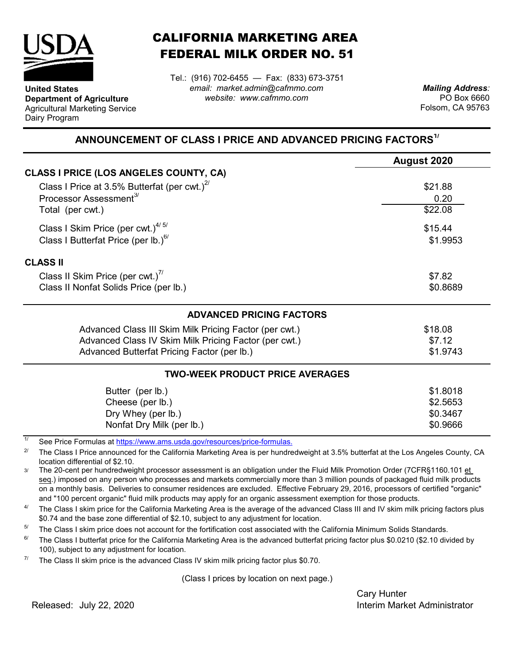

**United States**

Dairy Program

**Department of Agriculture** Agricultural Marketing Service

## CALIFORNIA MARKETING AREA FEDERAL MILK ORDER NO. 51

Tel.: (916) 702-6455 — Fax: (833) 673-3751 *email: market.admin@cafmmo.com website: www.cafmmo.com*

*Mailing Address:* PO Box 6660 Folsom, CA 95763

## **ANNOUNCEMENT OF CLASS I PRICE AND ADVANCED PRICING FACTORS1/**

|                                                                               | August 2020         |  |  |
|-------------------------------------------------------------------------------|---------------------|--|--|
| <b>CLASS I PRICE (LOS ANGELES COUNTY, CA)</b>                                 |                     |  |  |
| Class I Price at 3.5% Butterfat (per cwt.) $2^{7}$                            | \$21.88             |  |  |
| Processor Assessment <sup>3/</sup>                                            | 0.20                |  |  |
| Total (per cwt.)                                                              | \$22.08             |  |  |
| Class I Skim Price (per cwt.) $4/5/$                                          | \$15.44<br>\$1.9953 |  |  |
| Class I Butterfat Price (per lb.) $^{6/}$                                     |                     |  |  |
| <b>CLASS II</b>                                                               |                     |  |  |
| Class II Skim Price (per cwt.)"                                               | \$7.82              |  |  |
| Class II Nonfat Solids Price (per lb.)                                        | \$0.8689            |  |  |
| <b>ADVANCED PRICING FACTORS</b>                                               |                     |  |  |
| Advanced Class III Skim Milk Pricing Factor (per cwt.)                        | \$18.08             |  |  |
| Advanced Class IV Skim Milk Pricing Factor (per cwt.)                         | \$7.12              |  |  |
| Advanced Butterfat Pricing Factor (per lb.)                                   | \$1.9743            |  |  |
| <b>TWO-WEEK PRODUCT PRICE AVERAGES</b>                                        |                     |  |  |
| Butter (per lb.)                                                              | \$1.8018            |  |  |
| Cheese (per lb.)                                                              | \$2.5653            |  |  |
| Dry Whey (per lb.)                                                            | \$0.3467            |  |  |
| Nonfat Dry Milk (per lb.)                                                     | \$0.9666            |  |  |
| 1/<br>See Dries Fermules at https://www.eme.uado.gov/reservese/prise fermules |                     |  |  |

See Price Formulas at <u>https://www.ams.usda.gov/resources/price-formulas.</u>

2/ The Class I Price announced for the California Marketing Area is per hundredweight at 3.5% butterfat at the Los Angeles County, CA location differential of \$2.10.

3/ The 20-cent per hundredweight processor assessment is an obligation under the Fluid Milk Promotion Order (7CFR§1160.101 et seq.) imposed on any person who processes and markets commercially more than 3 million pounds of packaged fluid milk products on a monthly basis. Deliveries to consumer residences are excluded. Effective February 29, 2016, processors of certified "organic" and "100 percent organic" fluid milk products may apply for an organic assessment exemption for those products.

4/ The Class I skim price for the California Marketing Area is the average of the advanced Class III and IV skim milk pricing factors plus \$0.74 and the base zone differential of \$2.10, subject to any adjustment for location.

5/ The Class I skim price does not account for the fortification cost associated with the California Minimum Solids Standards.

6/ The Class I butterfat price for the California Marketing Area is the advanced butterfat pricing factor plus \$0.0210 (\$2.10 divided by 100), subject to any adjustment for location.

7/ The Class II skim price is the advanced Class IV skim milk pricing factor plus \$0.70.

(Class I prices by location on next page.)

Cary Hunter **Interim Market Administrator** 

Released: July 22, 2020